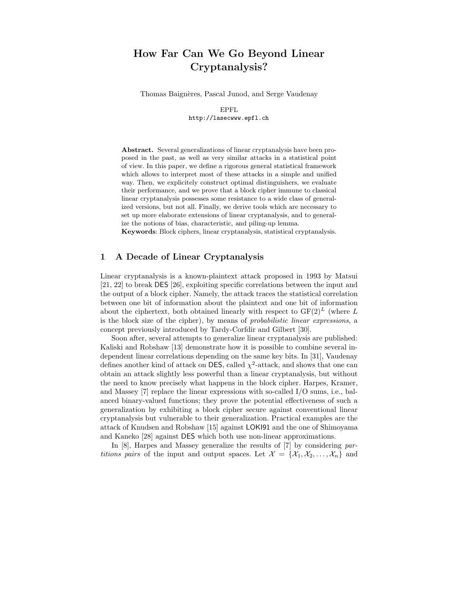# How Far Can We Go Beyond Linear Cryptanalysis?

Thomas Baignères, Pascal Junod, and Serge Vaudenay

EPFL http://lasecwww.epfl.ch

Abstract. Several generalizations of linear cryptanalysis have been proposed in the past, as well as very similar attacks in a statistical point of view. In this paper, we define a rigorous general statistical framework which allows to interpret most of these attacks in a simple and unified way. Then, we explicitely construct optimal distinguishers, we evaluate their performance, and we prove that a block cipher immune to classical linear cryptanalysis possesses some resistance to a wide class of generalized versions, but not all. Finally, we derive tools which are necessary to set up more elaborate extensions of linear cryptanalysis, and to generalize the notions of bias, characteristic, and piling-up lemma.

Keywords: Block ciphers, linear cryptanalysis, statistical cryptanalysis.

# 1 A Decade of Linear Cryptanalysis

Linear cryptanalysis is a known-plaintext attack proposed in 1993 by Matsui [21, 22] to break DES [26], exploiting specific correlations between the input and the output of a block cipher. Namely, the attack traces the statistical correlation between one bit of information about the plaintext and one bit of information about the ciphertext, both obtained linearly with respect to  $GF(2)^{L}$  (where L is the block size of the cipher), by means of probabilistic linear expressions, a concept previously introduced by Tardy-Corfdir and Gilbert [30].

Soon after, several attempts to generalize linear cryptanalysis are published: Kaliski and Robshaw [13] demonstrate how it is possible to combine several independent linear correlations depending on the same key bits. In [31], Vaudenay defines another kind of attack on DES, called  $\chi^2$ -attack, and shows that one can obtain an attack slightly less powerful than a linear cryptanalysis, but without the need to know precisely what happens in the block cipher. Harpes, Kramer, and Massey [7] replace the linear expressions with so-called I/O sums, i.e., balanced binary-valued functions; they prove the potential effectiveness of such a generalization by exhibiting a block cipher secure against conventional linear cryptanalysis but vulnerable to their generalization. Practical examples are the attack of Knudsen and Robshaw [15] against LOKI91 and the one of Shimoyama and Kaneko [28] against DES which both use non-linear approximations.

In [8], Harpes and Massey generalize the results of [7] by considering partitions pairs of the input and output spaces. Let  $\mathcal{X} = {\mathcal{X}_1, X_2, ..., X_n}$  and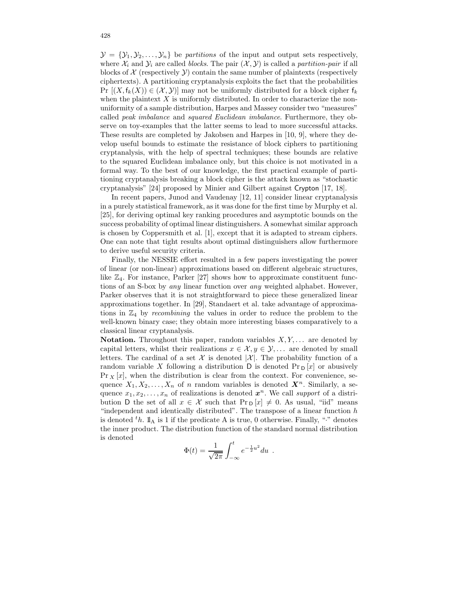$\mathcal{Y} = {\mathcal{Y}_1, \mathcal{Y}_2, \ldots, \mathcal{Y}_n}$  be *partitions* of the input and output sets respectively, where  $\mathcal{X}_i$  and  $\mathcal{Y}_i$  are called blocks. The pair  $(\mathcal{X}, \mathcal{Y})$  is called a partition-pair if all blocks of  $\mathcal X$  (respectively  $\mathcal Y$ ) contain the same number of plaintexts (respectively ciphertexts). A partitioning cryptanalysis exploits the fact that the probabilities Pr  $[(X, f_k(X)) \in (X, Y)]$  may not be uniformly distributed for a block cipher  $f_k$ when the plaintext  $X$  is uniformly distributed. In order to characterize the nonuniformity of a sample distribution, Harpes and Massey consider two "measures" called peak imbalance and squared Euclidean imbalance. Furthermore, they observe on toy-examples that the latter seems to lead to more successful attacks. These results are completed by Jakobsen and Harpes in [10, 9], where they develop useful bounds to estimate the resistance of block ciphers to partitioning cryptanalysis, with the help of spectral techniques; these bounds are relative to the squared Euclidean imbalance only, but this choice is not motivated in a formal way. To the best of our knowledge, the first practical example of partitioning cryptanalysis breaking a block cipher is the attack known as "stochastic cryptanalysis" [24] proposed by Minier and Gilbert against Crypton [17, 18].

In recent papers, Junod and Vaudenay [12, 11] consider linear cryptanalysis in a purely statistical framework, as it was done for the first time by Murphy et al. [25], for deriving optimal key ranking procedures and asymptotic bounds on the success probability of optimal linear distinguishers. A somewhat similar approach is chosen by Coppersmith et al. [1], except that it is adapted to stream ciphers. One can note that tight results about optimal distinguishers allow furthermore to derive useful security criteria.

Finally, the NESSIE effort resulted in a few papers investigating the power of linear (or non-linear) approximations based on different algebraic structures, like  $\mathbb{Z}_4$ . For instance, Parker [27] shows how to approximate constituent functions of an S-box by any linear function over any weighted alphabet. However, Parker observes that it is not straightforward to piece these generalized linear approximations together. In [29], Standaert et al. take advantage of approximations in  $\mathbb{Z}_4$  by *recombining* the values in order to reduce the problem to the well-known binary case; they obtain more interesting biases comparatively to a classical linear cryptanalysis.

**Notation.** Throughout this paper, random variables  $X, Y, \ldots$  are denoted by capital letters, whilst their realizations  $x \in \mathcal{X}, y \in \mathcal{Y}, \ldots$  are denoted by small letters. The cardinal of a set X is denoted  $|\mathcal{X}|$ . The probability function of a random variable X following a distribution D is denoted  $Pr_{D}[x]$  or abusively  $Pr_{X}[x]$ , when the distribution is clear from the context. For convenience, sequence  $X_1, X_2, \ldots, X_n$  of n random variables is denoted  $\mathbf{X}^n$ . Similarly, a sequence  $x_1, x_2, \ldots, x_n$  of realizations is denoted  $x^n$ . We call support of a distribution D the set of all  $x \in \mathcal{X}$  such that  $\Pr_{\mathsf{D}}[x] \neq 0$ . As usual, "iid" means "independent and identically distributed". The transpose of a linear function  $h$ is denoted  ${}^t h$ .  $\mathbb{I}_A$  is 1 if the predicate A is true, 0 otherwise. Finally, "." denotes the inner product. The distribution function of the standard normal distribution is denoted

$$
\Phi(t) = \frac{1}{\sqrt{2\pi}} \int_{-\infty}^{t} e^{-\frac{1}{2}u^2} du .
$$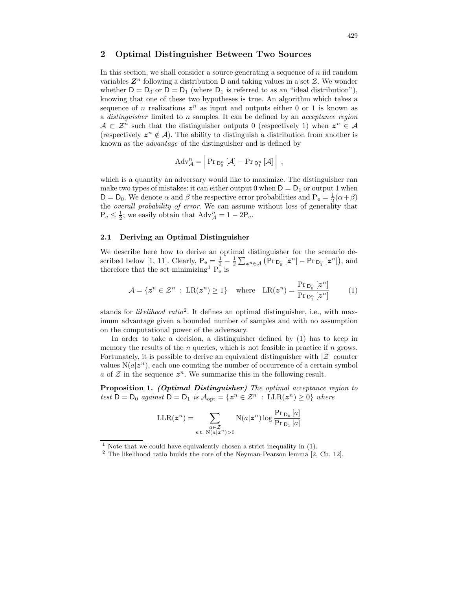# 2 Optimal Distinguisher Between Two Sources

In this section, we shall consider a source generating a sequence of  $n$  iid random variables  $\mathbb{Z}^n$  following a distribution D and taking values in a set  $\mathcal{Z}$ . We wonder whether  $D = D_0$  or  $D = D_1$  (where  $D_1$  is referred to as an "ideal distribution"), knowing that one of these two hypotheses is true. An algorithm which takes a sequence of n realizations  $z^n$  as input and outputs either 0 or 1 is known as a distinguisher limited to n samples. It can be defined by an acceptance region  $A \subset \mathcal{Z}^n$  such that the distinguisher outputs 0 (respectively 1) when  $z^n \in A$ (respectively  $z^n \notin A$ ). The ability to distinguish a distribution from another is known as the advantage of the distinguisher and is defined by

$$
Adv_{\mathcal{A}}^{n} = \left| \Pr_{D_{0}^{n}}\left[\mathcal{A}\right] - \Pr_{D_{1}^{n}}\left[\mathcal{A}\right] \right| ,
$$

which is a quantity an adversary would like to maximize. The distinguisher can make two types of mistakes: it can either output 0 when  $D = D_1$  or output 1 when  $D = D_0$ . We denote  $\alpha$  and  $\beta$  the respective error probabilities and  $P_e = \frac{1}{2}(\alpha + \beta)$ the overall probability of error. We can assume without loss of generality that  $P_e \leq \frac{1}{2}$ ; we easily obtain that  $Adv_{\mathcal{A}}^n = 1 - 2P_e$ .

#### 2.1 Deriving an Optimal Distinguisher

We describe here how to derive an optimal distinguisher for the scenario described below [1, 11]. Clearly,  $P_e = \frac{1}{2} - \frac{1}{2} \sum_{z^n \in A} (\Pr_{D_0^n}[z^n] - \Pr_{D_1^n}[z^n])$ , and therefore that the set minimizing<sup>1</sup>  $P_e$ <sup>r</sup> is

$$
\mathcal{A} = \{ \boldsymbol{z}^n \in \mathcal{Z}^n \; : \; \text{LR}(\boldsymbol{z}^n) \ge 1 \} \quad \text{where} \quad \text{LR}(\boldsymbol{z}^n) = \frac{\Pr_{\mathsf{D}_0^n}[\boldsymbol{z}^n]}{\Pr_{\mathsf{D}_1^n}[\boldsymbol{z}^n]} \tag{1}
$$

stands for *likelihood ratio*<sup>2</sup>. It defines an optimal distinguisher, i.e., with maximum advantage given a bounded number of samples and with no assumption on the computational power of the adversary.

In order to take a decision, a distinguisher defined by (1) has to keep in memory the results of the  $n$  queries, which is not feasible in practice if  $n$  grows. Fortunately, it is possible to derive an equivalent distinguisher with  $|\mathcal{Z}|$  counter values  $N(a|z^n)$ , each one counting the number of occurrence of a certain symbol a of  $\mathcal Z$  in the sequence  $\boldsymbol{z}^n$ . We summarize this in the following result.

Proposition 1. (Optimal Distinguisher) The optimal acceptance region to test  $D = D_0$  against  $D = D_1$  is  $\mathcal{A}_{opt} = \{ z^n \in \mathcal{Z}^n : LLR(z^n) \geq 0 \}$  where

$$
\text{LLR}(\boldsymbol{z}^n) = \sum_{\substack{a \in \mathcal{Z} \\ \text{s.t. } \text{N}(a|\boldsymbol{z}^n) > 0}} \text{N}(a|\boldsymbol{z}^n) \log \frac{\Pr_{\text{D}_0}[a]}{\Pr_{\text{D}_1}[a]}
$$

<sup>&</sup>lt;sup>1</sup> Note that we could have equivalently chosen a strict inequality in  $(1)$ .

 $2$  The likelihood ratio builds the core of the Neyman-Pearson lemma [2, Ch. 12].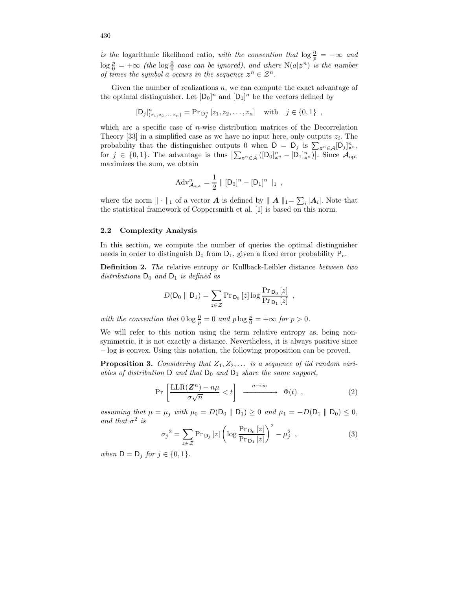is the logarithmic likelihood ratio, with the convention that  $\log \frac{0}{p} = -\infty$  and  $\log \frac{p}{0}$  =  $+\infty$  (the  $\log \frac{0}{0}$  case can be ignored), and where  $N(a|z^n)$  is the number of times the symbol a occurs in the sequence  $z^n \in \mathcal{Z}^n$ .

Given the number of realizations  $n$ , we can compute the exact advantage of the optimal distinguisher. Let  $[D_0]^n$  and  $[D_1]^n$  be the vectors defined by

$$
[D_j]_{(z_1, z_2, ..., z_n)}^n = \Pr_{D_j^n} [z_1, z_2, ..., z_n] \text{ with } j \in \{0, 1\},
$$

which are a specific case of  $n$ -wise distribution matrices of the Decorrelation Theory [33] in a simplified case as we have no input here, only outputs  $z_i$ . The probability that the distinguisher outputs 0 when  $D = D_j$  is  $\sum_{z^n \in A} [D_j]_{z^n}^n$ , for  $j \in \{0,1\}$ . The advantage is thus  $\left|\sum_{\mathbf{z}^n \in \mathcal{A}} ([\mathsf{D}_0]_{\mathbf{z}^n}^n - [\mathsf{D}_1]_{\mathbf{z}^n}^n)\right|$ . Since  $\mathcal{A}_{\text{opt}}$ maximizes the sum, we obtain

$$
Adv_{\mathcal{A}_{opt}}^{n} = \frac{1}{2} || [D_0]^{n} - [D_1]^{n} ||_1,
$$

where the norm  $\|\cdot\|_1$  of a vector **A** is defined by  $\|A\|_1 = \sum_i |A_i|$ . Note that the statistical framework of Coppersmith et al. [1] is based on this norm.

#### 2.2 Complexity Analysis

In this section, we compute the number of queries the optimal distinguisher needs in order to distinguish  $D_0$  from  $D_1$ , given a fixed error probability  $P_e$ .

Definition 2. The relative entropy or Kullback-Leibler distance between two distributions  $D_0$  and  $D_1$  is defined as

$$
D(D_0 \parallel D_1) = \sum_{z \in \mathcal{Z}} \Pr_{D_0}[z] \log \frac{\Pr_{D_0}[z]}{\Pr_{D_1}[z]}
$$

with the convention that  $0 \log \frac{0}{p} = 0$  and  $p \log \frac{p}{0} = +\infty$  for  $p > 0$ .

We will refer to this notion using the term relative entropy as, being nonsymmetric, it is not exactly a distance. Nevertheless, it is always positive since − log is convex. Using this notation, the following proposition can be proved.

**Proposition 3.** Considering that  $Z_1, Z_2, \ldots$  is a sequence of iid random variables of distribution D and that  $D_0$  and  $D_1$  share the same support,

$$
\Pr\left[\frac{\text{LLR}(\mathbf{Z}^n) - n\mu}{\sigma\sqrt{n}} < t\right] \xrightarrow{n \to \infty} \Phi(t) \tag{2}
$$

,

assuming that  $\mu = \mu_j$  with  $\mu_0 = D(D_0 \parallel D_1) \geq 0$  and  $\mu_1 = -D(D_1 \parallel D_0) \leq 0$ , and that  $\sigma^2$  is

$$
\sigma_j^2 = \sum_{z \in \mathcal{Z}} \Pr_{\mathsf{D}_j}[z] \left( \log \frac{\Pr_{\mathsf{D}_0}[z]}{\Pr_{\mathsf{D}_1}[z]} \right)^2 - \mu_j^2 \tag{3}
$$

when  $D = D_j$  for  $j \in \{0, 1\}$ .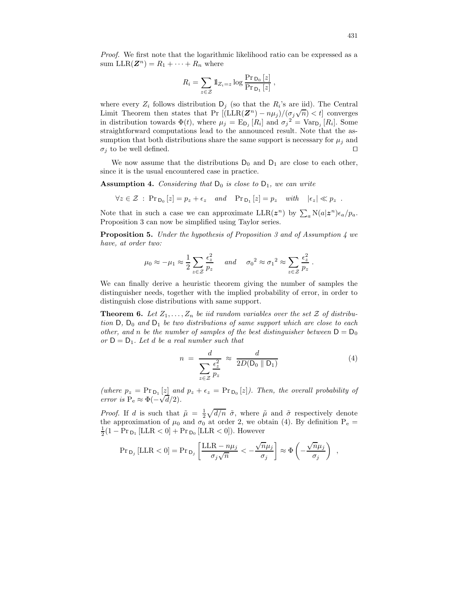Proof. We first note that the logarithmic likelihood ratio can be expressed as a sum  $\text{LLR}(\mathbf{Z}^n) = R_1 + \cdots + R_n$  where

$$
R_i = \sum_{z \in \mathcal{Z}} \mathbb{1}_{Z_i = z} \log \frac{\Pr_{\mathsf{D}_0}[z]}{\Pr_{\mathsf{D}_1}[z]},
$$

where every  $Z_i$  follows distribution  $D_j$  (so that the  $R_i$ 's are iid). The Central Limit Theorem then states that Pr  $[(LLR(Z^n) - n\mu_j)/(\sigma_j\sqrt{n}) < t]$  converges in distribution towards  $\Phi(t)$ , where  $\mu_j = \mathbb{E}_{\mathsf{D}_j}[R_i]$  and  $\sigma_j^2 = \text{Var}_{\mathsf{D}_j}[R_i]$ . Some straightforward computations lead to the announced result. Note that the assumption that both distributions share the same support is necessary for  $\mu_i$  and  $\sigma_i$  to be well defined.

We now assume that the distributions  $D_0$  and  $D_1$  are close to each other, since it is the usual encountered case in practice.

Assumption 4. Considering that  $D_0$  is close to  $D_1$ , we can write

$$
\forall z \in \mathcal{Z} \; : \; \text{Pr}_{\mathsf{D}_0}[z] = p_z + \epsilon_z \quad \text{and} \quad \text{Pr}_{\mathsf{D}_1}[z] = p_z \quad \text{with} \quad |\epsilon_z| \ll p_z \; .
$$

Note that in such a case we can approximate  $LLR(z^n)$  by  $\sum_a N(a|z^n) \epsilon_a / p_a$ . Proposition 3 can now be simplified using Taylor series.

**Proposition 5.** Under the hypothesis of Proposition 3 and of Assumption 4 we have, at order two:

$$
\mu_0 \approx -\mu_1 \approx \frac{1}{2} \sum_{z \in \mathcal{Z}} \frac{\epsilon_z^2}{p_z}
$$
 and  $\sigma_0^2 \approx {\sigma_1}^2 \approx \sum_{z \in \mathcal{Z}} \frac{\epsilon_z^2}{p_z}$ .

We can finally derive a heuristic theorem giving the number of samples the distinguisher needs, together with the implied probability of error, in order to distinguish close distributions with same support.

**Theorem 6.** Let  $Z_1, \ldots, Z_n$  be iid random variables over the set  $Z$  of distribution  $D$ ,  $D_0$  and  $D_1$  be two distributions of same support which are close to each other, and n be the number of samples of the best distinguisher between  $D = D_0$ or  $D = D_1$ . Let d be a real number such that

$$
n = \frac{d}{\sum_{z \in \mathcal{Z}} \frac{\epsilon_z^2}{p_z}} \approx \frac{d}{2D(D_0 \parallel D_1)}
$$
(4)

(where  $p_z = Pr_{D_1}[z]$  and  $p_z + \epsilon_z = Pr_{D_0}[z]$ ). Then, the overall probability of error is P<sub>e</sub>  $\approx \Phi(-\sqrt{d}/2)$ .

*Proof.* If d is such that  $\tilde{\mu} = \frac{1}{2} \sqrt{d/n} \tilde{\sigma}$ , where  $\tilde{\mu}$  and  $\tilde{\sigma}$  respectively denote the approximation of  $\mu_0$  and  $\sigma_0$  at order 2, we obtain (4). By definition  $P_e =$  $\frac{1}{2}(1 - \Pr_{D_1}[\text{LLR} < 0] + \Pr_{D_0}[\text{LLR} < 0]).$  However

$$
\Pr_{D_j} \left[ LLR < 0 \right] = \Pr_{D_j} \left[ \frac{LLR - n\mu_j}{\sigma_j \sqrt{n}} < -\frac{\sqrt{n}\mu_j}{\sigma_j} \right] \approx \Phi \left( -\frac{\sqrt{n}\mu_j}{\sigma_j} \right) ,
$$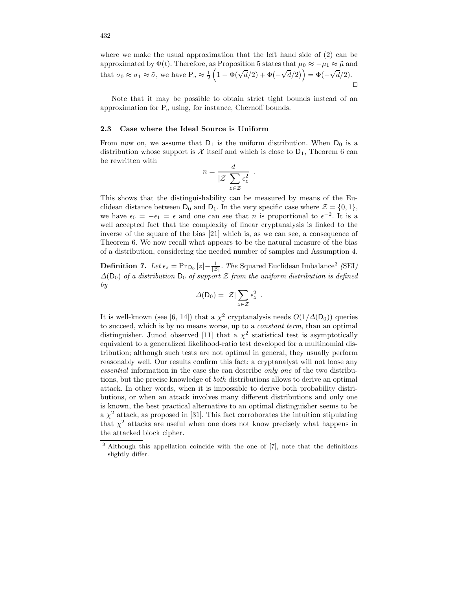where we make the usual approximation that the left hand side of  $(2)$  can be approximated by  $\Phi(t)$ . Therefore, as Proposition 5 states that  $\mu_0 \approx -\mu_1 \approx \tilde{\mu}$  and that  $\sigma_0 \approx \sigma_1 \approx \tilde{\sigma}$ , we have  $P_e \approx \frac{1}{2}$  $(1 - \Phi(\sqrt{d}/2) + \Phi(-\sqrt{d}/2)) = \Phi(-\sqrt{d}/2).$  $\Box$ 

Note that it may be possible to obtain strict tight bounds instead of an approximation for P<sup>e</sup> using, for instance, Chernoff bounds.

#### 2.3 Case where the Ideal Source is Uniform

From now on, we assume that  $D_1$  is the uniform distribution. When  $D_0$  is a distribution whose support is X itself and which is close to  $D_1$ , Theorem 6 can be rewritten with

$$
n = \frac{d}{|\mathcal{Z}| \sum_{z \in \mathcal{Z}} \epsilon_z^2}.
$$

This shows that the distinguishability can be measured by means of the Euclidean distance between  $D_0$  and  $D_1$ . In the very specific case where  $\mathcal{Z} = \{0, 1\}$ , we have  $\epsilon_0 = -\epsilon_1 = \epsilon$  and one can see that *n* is proportional to  $\epsilon^{-2}$ . It is a well accepted fact that the complexity of linear cryptanalysis is linked to the inverse of the square of the bias [21] which is, as we can see, a consequence of Theorem 6. We now recall what appears to be the natural measure of the bias of a distribution, considering the needed number of samples and Assumption 4.

**Definition 7.** Let  $\epsilon_z = \Pr_{\text{D}_0}[z] - \frac{1}{|z|}$ . The Squared Euclidean Imbalance<sup>3</sup> (SEI)  $\Delta(D_0)$  of a distribution  $D_0$  of support Z from the uniform distribution is defined by

$$
\varDelta(D_0)=|\mathcal{Z}|\sum_{z\in\mathcal{Z}}\varepsilon_z^2\ .
$$

It is well-known (see [6, 14]) that a  $\chi^2$  cryptanalysis needs  $O(1/\Delta(\mathsf{D}_0))$  queries to succeed, which is by no means worse, up to a constant term, than an optimal distinguisher. Junod observed [11] that a  $\chi^2$  statistical test is asymptotically equivalent to a generalized likelihood-ratio test developed for a multinomial distribution; although such tests are not optimal in general, they usually perform reasonably well. Our results confirm this fact: a cryptanalyst will not loose any essential information in the case she can describe only one of the two distributions, but the precise knowledge of both distributions allows to derive an optimal attack. In other words, when it is impossible to derive both probability distributions, or when an attack involves many different distributions and only one is known, the best practical alternative to an optimal distinguisher seems to be a  $\chi^2$  attack, as proposed in [31]. This fact corroborates the intuition stipulating that  $\chi^2$  attacks are useful when one does not know precisely what happens in the attacked block cipher.

<sup>&</sup>lt;sup>3</sup> Although this appellation coincide with the one of [7], note that the definitions slightly differ.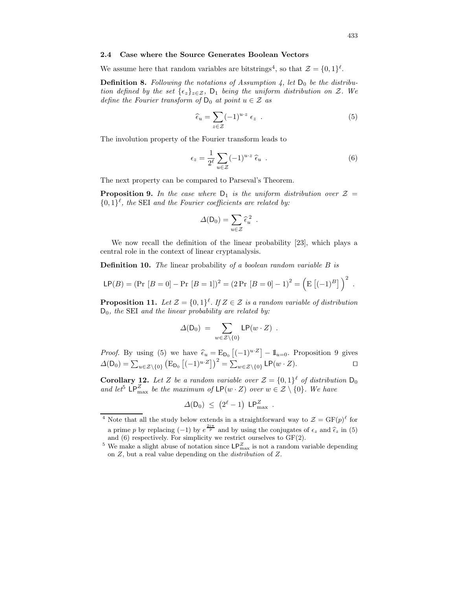#### 2.4 Case where the Source Generates Boolean Vectors

We assume here that random variables are bitstrings<sup>4</sup>, so that  $\mathcal{Z} = \{0, 1\}^{\ell}$ .

**Definition 8.** Following the notations of Assumption 4, let  $D_0$  be the distribution defined by the set  $\{\epsilon_z\}_{z\in\mathcal{Z}}$ ,  $D_1$  being the uniform distribution on Z. We define the Fourier transform of  $D_0$  at point  $u \in \mathcal{Z}$  as

$$
\widehat{\epsilon}_u = \sum_{z \in \mathcal{Z}} (-1)^{u \cdot z} \epsilon_z \tag{5}
$$

The involution property of the Fourier transform leads to

$$
\epsilon_z = \frac{1}{2^{\ell}} \sum_{u \in \mathcal{Z}} (-1)^{u \cdot z} \hat{\epsilon}_u . \tag{6}
$$

The next property can be compared to Parseval's Theorem.

**Proposition 9.** In the case where  $D_1$  is the uniform distribution over  $\mathcal{Z} =$  $\{0,1\}^{\ell}$ , the SEI and the Fourier coefficients are related by:

$$
\Delta(\mathsf{D}_0) = \sum_{u \in \mathcal{Z}} \widehat{\epsilon}_u^2 \enspace .
$$

We now recall the definition of the linear probability [23], which plays a central role in the context of linear cryptanalysis.

**Definition 10.** The linear probability of a boolean random variable B is

$$
\mathsf{LP}(B) = (\Pr [B = 0] - \Pr [B = 1])^2 = (2 \Pr [B = 0] - 1)^2 = (\mathsf{E} [(-1)^B])^2.
$$

**Proposition 11.** Let  $\mathcal{Z} = \{0,1\}^{\ell}$ . If  $Z \in \mathcal{Z}$  is a random variable of distribution  $D_0$ , the SEI and the linear probability are related by:

$$
\Delta(D_0) = \sum_{w \in \mathcal{Z} \setminus \{0\}} \mathsf{LP}(w \cdot Z) \ .
$$

*Proof.* By using (5) we have  $\hat{\epsilon}_u = \mathrm{E}_{\mathrm{D}_0} \left[ (-1)^{u \cdot Z} \right] - \mathbb{1}_{u=0}$ . Proposition 9 gives  $\Delta(D_0) = \sum_{u \in \mathcal{Z} \setminus \{0\}} \left( E_{D_0} \left[ (-1)^{u \cdot Z} \right] \right)^2 = \sum_{w \in \mathcal{Z} \setminus \{0\}} \textsf{LP}(w \cdot Z).$ 

**Corollary 12.** Let Z be a random variable over  $\mathcal{Z} = \{0,1\}^{\ell}$  of distribution  $\mathsf{D}_0$ and let<sup>5</sup>  $\mathsf{LP}_{\max}^Z$  be the maximum of  $\mathsf{LP}(w \cdot Z)$  over  $w \in \mathcal{Z} \setminus \{0\}$ . We have

$$
\Delta(\mathsf{D}_0) \ \leq \ \left(2^{\ell}-1\right) \ \mathsf{LP}_{\max}^Z \ .
$$

<sup>&</sup>lt;sup>4</sup> Note that all the study below extends in a straightforward way to  $\mathcal{Z} = \mathrm{GF}(p)^{\ell}$  for a prime p by replacing (-1) by  $e^{\frac{2i\pi}{p}}$  and by using the conjugates of  $\epsilon_z$  and  $\hat{\epsilon}_z$  in (5) and (6) respectively. For simplicity we restrict ourselves to GF(2).

<sup>&</sup>lt;sup>5</sup> We make a slight abuse of notation since  $\mathsf{LP}_\text{max}^Z$  is not a random variable depending on Z, but a real value depending on the distribution of Z.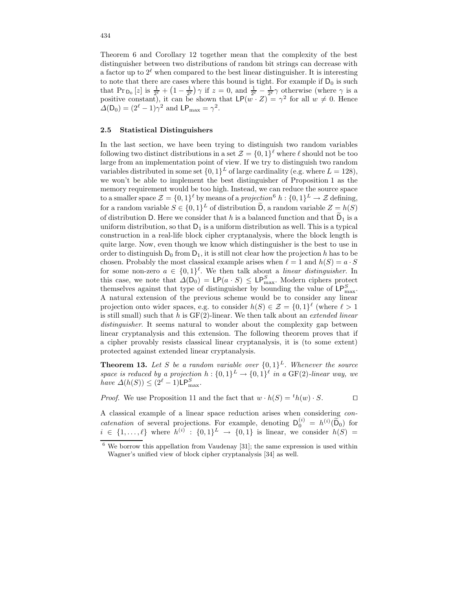Theorem 6 and Corollary 12 together mean that the complexity of the best distinguisher between two distributions of random bit strings can decrease with a factor up to  $2^{\ell}$  when compared to the best linear distinguisher. It is interesting to note that there are cases where this bound is tight. For example if  $D_0$  is such that  $\Pr_{\mathsf{D}_0}[z]$  is  $\frac{1}{2^{\ell}} + \left(1 - \frac{1}{2^{\ell}}\right)\gamma$  if  $z = 0$ , and  $\frac{1}{2^{\ell}} - \frac{1}{2^{\ell}}\gamma$  otherwise (where  $\gamma$  is a positive constant), it can be shown that  $\mathsf{LP}(w \cdot Z) = \gamma^2$  for all  $w \neq 0$ . Hence  $\Delta(D_0) = (2^{\ell} - 1)\gamma^2$  and  $\text{LP}_{\text{max}} = \gamma^2$ .

#### 2.5 Statistical Distinguishers

In the last section, we have been trying to distinguish two random variables following two distinct distributions in a set  $\mathcal{Z} = \{0,1\}^{\ell}$  where  $\ell$  should not be too large from an implementation point of view. If we try to distinguish two random variables distributed in some set  $\{0,1\}^L$  of large cardinality (e.g. where  $L = 128$ ), we won't be able to implement the best distinguisher of Proposition 1 as the memory requirement would be too high. Instead, we can reduce the source space to a smaller space  $\mathcal{Z} = \{0,1\}^{\ell}$  by means of a projection<sup>6</sup>  $h: \{0,1\}^L \to \mathcal{Z}$  defining, for a random variable  $S \in \{0,1\}^L$  of distribution  $\overline{D}$ , a random variable  $Z \equiv h(S)$ of distribution D. Here we consider that  $h$  is a balanced function and that  $D_1$  is a uniform distribution, so that  $D_1$  is a uniform distribution as well. This is a typical construction in a real-life block cipher cryptanalysis, where the block length is quite large. Now, even though we know which distinguisher is the best to use in order to distinguish  $D_0$  from  $D_1$ , it is still not clear how the projection h has to be chosen. Probably the most classical example arises when  $\ell = 1$  and  $h(S) = a \cdot S$ for some non-zero  $a \in \{0,1\}^{\ell}$ . We then talk about a linear distinguisher. In this case, we note that  $\Delta(D_0) = \text{LP}(a \cdot S) \leq \text{LP}_{\text{max}}^S$ . Modern ciphers protect themselves against that type of distinguisher by bounding the value of  $\mathsf{LP}_{\max}^S$ . A natural extension of the previous scheme would be to consider any linear projection onto wider spaces, e.g. to consider  $h(S) \in \mathcal{Z} = \{0,1\}^{\ell}$  (where  $\ell > 1$ ) is still small) such that h is  $GF(2)$ -linear. We then talk about an *extended linear* distinguisher. It seems natural to wonder about the complexity gap between linear cryptanalysis and this extension. The following theorem proves that if a cipher provably resists classical linear cryptanalysis, it is (to some extent) protected against extended linear cryptanalysis.

**Theorem 13.** Let S be a random variable over  $\{0,1\}^L$ . Whenever the source space is reduced by a projection  $h: \{0,1\}^L \to \{0,1\}^{\ell}$  in a GF(2)-linear way, we have  $\Delta(h(S)) \leq (2^{\ell} - 1)\mathsf{LP}_{\max}^S$ .

*Proof.* We use Proposition 11 and the fact that  $w \cdot h(S) = {}^t h(w) \cdot S$ .

A classical example of a linear space reduction arises when considering concatenation of several projections. For example, denoting  $D_0^{(i)} = h^{(i)}(\tilde{D}_0)$  for  $i \in \{1, \ldots, \ell\}$  where  $h^{(i)} : \{0,1\}^L \to \{0,1\}$  is linear, we consider  $h(S) =$ 

 $6$  We borrow this appellation from Vaudenay [31]; the same expression is used within Wagner's unified view of block cipher cryptanalysis [34] as well.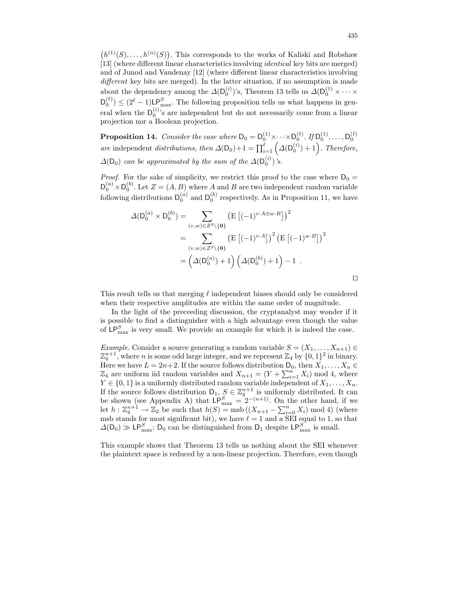$(h^{(1)}(S), \ldots, h^{(n)}(S))$ . This corresponds to the works of Kaliski and Robshaw [13] (where different linear characteristicsinvolving identical key bits are merged) and of Junod and Vaudenay [12] (where different linear characteristics involving different key bits are merged). In the latter situation, if no assumption is made about the dependency among the  $\Delta(D_0^{(i)})$ 's, Theorem 13 tells us  $\Delta(D_0^{(1)} \times \cdots \times$  $D_0^{(\ell)} \leq (2^{\ell} - 1)$ LP<sub>S</sub> The following proposition tells us what happens in general when the  $D_0^{(i)}$ 's are independent but do not necessarily come from a linear projection nor a Boolean projection.

**Proposition 14.** Consider the case where  $D_0 = D_0^{(1)} \times \cdots \times D_0^{(\ell)}$ . If  $D_0^{(1)}, \ldots, D_0^{(\ell)}$ are independent distributions, then  $\Delta(D_0)+1=\prod_{i=1}^{\ell} (\Delta(D_0^{(i)})+1)$ . Therefore,  $\Delta(D_0)$  can be approximated by the sum of the  $\Delta(D_0^{(i)})$ 's.

*Proof.* For the sake of simplicity, we restrict this proof to the case where  $D_0 =$  $\mathsf{D}_0^{(a)} \times \mathsf{D}_0^{(b)}$ . Let  $Z = (A, B)$  where A and B are two independent random variable following distributions  $D_0^{(a)}$  and  $D_0^{(b)}$  respectively. As in Proposition 11, we have

$$
\Delta(\mathsf{D}_{0}^{(a)} \times \mathsf{D}_{0}^{(b)}) = \sum_{(v,w)\in \mathcal{Z}^{2}\backslash\{\mathbf{0}\}} \left(\mathrm{E}\left[(-1)^{v\cdot A \oplus w\cdot B}\right]\right)^{2}
$$

$$
= \sum_{(v,w)\in \mathcal{Z}^{2}\backslash\{\mathbf{0}\}} \left(\mathrm{E}\left[(-1)^{v\cdot A}\right]\right)^{2} \left(\mathrm{E}\left[(-1)^{w\cdot B}\right]\right)^{2}
$$

$$
= \left(\Delta(\mathsf{D}_{0}^{(a)}) + 1\right) \left(\Delta(\mathsf{D}_{0}^{(b)}) + 1\right) - 1.
$$

This result tells us that merging  $\ell$  independent biases should only be considered when their respective amplitudes are within the same order of magnitude.

In the light of the preceeding discussion, the cryptanalyst may wonder if it is possible to find a distinguisher with a high advantage even though the value of  $\mathsf{LP}_{\max}^S$  is very small. We provide an example for which it is indeed the case.

Example. Consider a source generating a random variable  $S = (X_1, \ldots, X_{n+1}) \in$  $\mathbb{Z}_4^{n+1}$ , where *n* is some odd large integer, and we represent  $\mathbb{Z}_4$  by  $\{0,1\}^2$  in binary. Here we have  $L = 2n+2$ . If the source follows distribution  $D_0$ , then  $X_1, \ldots, X_n \in$  $\mathbb{Z}_4$  are uniform iid random variables and  $X_{n+1} = (Y + \sum_{i=1}^n X_i) \mod 4$ , where  $Y \in \{0,1\}$  is a uniformly distributed random variable independent of  $X_1, \ldots, X_n$ . If the source follows distribution  $D_1, S \in \mathbb{Z}_4^{n+1}$  is uniformly distributed. It can be shown (see Appendix A) that  $LP_{\text{max}}^S = 2^{-(n+1)}$ . On the other hand, if we let  $h: \mathbb{Z}_4^{n+1} \to \mathbb{Z}_2$  be such that  $h(S) = \text{msb}((X_{n+1} - \sum_{i=0}^n X_i) \text{ mod } 4)$  (where msb stands for most significant bit), we have  $\ell = 1$  and a SEI equal to 1, so that  $\Delta(D_0) \gg \mathsf{LP}_{\max}^S$ :  $D_0$  can be distinguished from  $D_1$  despite  $\mathsf{LP}_{\max}^S$  is small.

This example shows that Theorem 13 tells us nothing about the SEI whenever the plaintext space is reduced by a non-linear projection. Therefore, even though

 $\Box$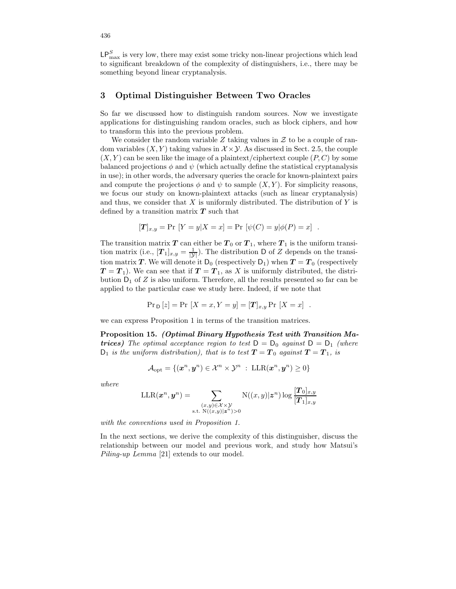$\mathsf{LP}_{\max}^S$  is very low, there may exist some tricky non-linear projections which lead to significant breakdown of the complexity of distinguishers, i.e., there may be something beyond linear cryptanalysis.

## 3 Optimal Distinguisher Between Two Oracles

So far we discussed how to distinguish random sources. Now we investigate applications for distinguishing random oracles, such as block ciphers, and how to transform this into the previous problem.

We consider the random variable Z taking values in  $\mathcal Z$  to be a couple of random variables  $(X, Y)$  taking values in  $\mathcal{X} \times \mathcal{Y}$ . As discussed in Sect. 2.5, the couple  $(X, Y)$  can be seen like the image of a plaintext/ciphertext couple  $(P, C)$  by some balanced projections  $\phi$  and  $\psi$  (which actually define the statistical cryptanalysis in use); in other words, the adversary queries the oracle for known-plaintext pairs and compute the projections  $\phi$  and  $\psi$  to sample  $(X, Y)$ . For simplicity reasons, we focus our study on known-plaintext attacks (such as linear cryptanalysis) and thus, we consider that  $X$  is uniformly distributed. The distribution of  $Y$  is defined by a transition matrix  $T$  such that

$$
[\mathbf{T}]_{x,y} = \Pr[Y = y | X = x] = \Pr[\psi(C) = y | \phi(P) = x].
$$

The transition matrix  $T$  can either be  $T_0$  or  $T_1$ , where  $T_1$  is the uniform transition matrix (i.e.,  $[T_1]_{x,y} = \frac{1}{|y|}$ ). The distribution D of Z depends on the transition matrix T. We will denote it  $D_0$  (respectively  $D_1$ ) when  $T = T_0$  (respectively  $T = T_1$ ). We can see that if  $T = T_1$ , as X is uniformly distributed, the distribution  $D_1$  of Z is also uniform. Therefore, all the results presented so far can be applied to the particular case we study here. Indeed, if we note that

$$
Pr_{D}[z] = Pr[X = x, Y = y] = [T]_{x,y} Pr[X = x].
$$

we can express Proposition 1 in terms of the transition matrices.

Proposition 15. (Optimal Binary Hypothesis Test with Transition Ma**trices)** The optimal acceptance region to test  $D = D_0$  against  $D = D_1$  (where  $D_1$  is the uniform distribution), that is to test  $T = T_0$  against  $T = T_1$ , is

$$
\mathcal{A}_{\mathrm{opt}} = \{ (\boldsymbol{x}^n, \boldsymbol{y}^n) \in \mathcal{X}^n \times \mathcal{Y}^n \; : \; \mathrm{LLR}(\boldsymbol{x}^n, \boldsymbol{y}^n) \geq 0 \}
$$

where

$$
\text{LLR}(\boldsymbol{x}^n, \boldsymbol{y}^n) = \sum_{\substack{(x,y)\in\mathcal{X}\times\mathcal{Y}\\ \text{s.t. } \text{N}((x,y)|\boldsymbol{z}^n) > 0}} \text{N}((x,y)|\boldsymbol{z}^n) \log \frac{[\boldsymbol{T}_0]_{x,y}}{[\boldsymbol{T}_1]_{x,y}}
$$

with the conventions used in Proposition 1.

In the next sections, we derive the complexity of this distinguisher, discuss the relationship between our model and previous work, and study how Matsui's Piling-up Lemma [21] extends to our model.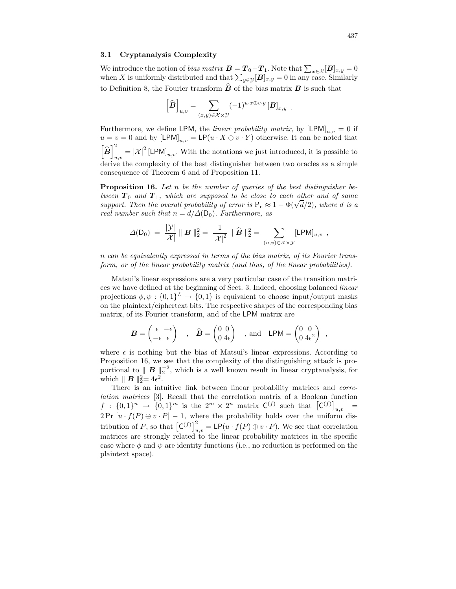#### 3.1 Cryptanalysis Complexity

We introduce the notion of *bias matrix*  $\mathbf{B} = \mathbf{T}_0 - \mathbf{T}_1$ . Note that  $\sum_{x \in \mathcal{X}} [\mathbf{B}]_{x,y} = 0$ when X is uniformly distributed and that  $\sum_{y \in \mathcal{Y}} [\mathbf{B}]_{x,y} = 0$  in any case. Similarly to Definition 8, the Fourier transform  $\bf{B}$  of the bias matrix  $\bf{B}$  is such that

$$
\left[\widehat{\pmb{B}}\right]_{u,v} = \sum_{(x,y)\in\mathcal{X}\times\mathcal{Y}} (-1)^{u\cdot x\oplus v\cdot y} \left[\pmb{B}\right]_{x,y}.
$$

Furthermore, we define LPM, the *linear probability matrix*, by  $[LPM]_{u,v} = 0$  if  $u = v = 0$  and by  $\text{[LPM]}_{u,v} = \text{LP}(u \cdot X \oplus v \cdot Y)$  otherwise. It can be noted that  $\left[\widehat{\boldsymbol{B}}\right]_w^2$  $\mathcal{L}_{u,v} = |\mathcal{X}|^2 [\mathsf{LPM}]_{u,v}$ . With the notations we just introduced, it is possible to derive the complexity of the best distinguisher between two oracles as a simple consequence of Theorem 6 and of Proposition 11.

**Proposition 16.** Let n be the number of queries of the best distinguisher between  $T_0$  and  $T_1$ , which are supposed to be close to each other and of same support. Then the overall probability of error is  $P_e \approx 1 - \Phi(\sqrt{d}/2)$ , where d is a real number such that  $n = d/\Delta(D_0)$ . Furthermore, as

$$
\varDelta({\sf D}_0) \ = \ \frac{|\mathcal{Y}|}{|\mathcal{X}|} \parallel \bm{B} \parallel_2^2 \ = \ \frac{1}{|\mathcal{X}|^2} \parallel \widehat{\bm{B}} \parallel_2^2 \ = \ \sum_{(u,v) \in \mathcal{X} \times \mathcal{Y}} [{\sf LPM}]_{u,v} \ \ ,
$$

n can be equivalently expressed in terms of the bias matrix, of its Fourier transform, or of the linear probability matrix (and thus, of the linear probabilities).

Matsui's linear expressions are a very particular case of the transition matrices we have defined at the beginning of Sect. 3. Indeed, choosing balanced linear projections  $\phi, \psi : \{0,1\}^L \to \{0,1\}$  is equivalent to choose input/output masks on the plaintext/ciphertext bits. The respective shapes of the corresponding bias matrix, of its Fourier transform, and of the LPM matrix are

$$
\boldsymbol{B} = \begin{pmatrix} \epsilon & -\epsilon \\ -\epsilon & \epsilon \end{pmatrix} , \quad \widehat{\boldsymbol{B}} = \begin{pmatrix} 0 & 0 \\ 0 & 4\epsilon \end{pmatrix} , \text{ and } \text{ LPM} = \begin{pmatrix} 0 & 0 \\ 0 & 4\epsilon^2 \end{pmatrix} ,
$$

where  $\epsilon$  is nothing but the bias of Matsui's linear expressions. According to Proposition 16, we see that the complexity of the distinguishing attack is proportional to  $\parallel \bm{B} \parallel_2^{-2}$ , which is a well known result in linear cryptanalysis, for which  $\parallel \boldsymbol{B} \parallel_2^2 = 4\epsilon^2$ .

There is an intuitive link between linear probability matrices and correlation matrices [3]. Recall that the correlation matrix of a Boolean function  $f: \{0,1\}^n \rightarrow \{0,1\}^m$  is the  $2^m \times 2^n$  matrix  $C^{(f)}$  such that  $[C^{(f)}]_{u,v}$ =  $2Pr [u \cdot f(P) \oplus v \cdot P] - 1$ , where the probability holds over the uniform distribution of P, so that  $[C^{(f)}]_{u,v}^2 = \text{LP}(u \cdot f(P) \oplus v \cdot P)$ . We see that correlation matrices are strongly related to the linear probability matrices in the specific case where  $\phi$  and  $\psi$  are identity functions (i.e., no reduction is performed on the plaintext space).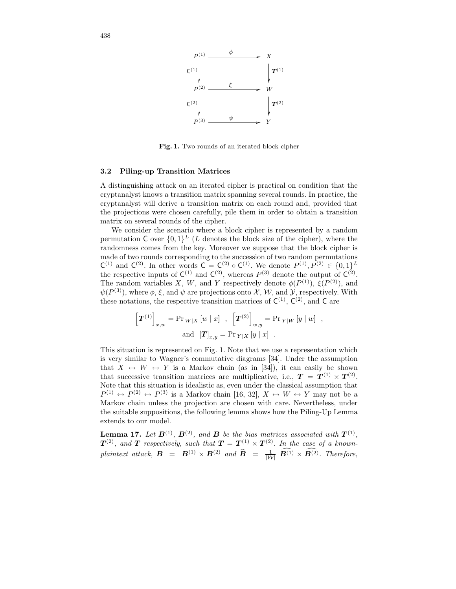

Fig. 1. Two rounds of an iterated block cipher

#### 3.2 Piling-up Transition Matrices

A distinguishing attack on an iterated cipher is practical on condition that the cryptanalyst knows a transition matrix spanning several rounds. In practice, the cryptanalyst will derive a transition matrix on each round and, provided that the projections were chosen carefully, pile them in order to obtain a transition matrix on several rounds of the cipher.

We consider the scenario where a block cipher is represented by a random permutation  $C$  over  $\{0,1\}^L$  (L denotes the block size of the cipher), where the randomness comes from the key. Moreover we suppose that the block cipher is made of two rounds corresponding to the succession of two random permutations  $C^{(1)}$  and  $C^{(2)}$ . In other words  $C = C^{(2)} \circ C^{(1)}$ . We denote  $P^{(1)}, P^{(2)} \in \{0,1\}^L$ the respective inputs of  $C^{(1)}$  and  $C^{(2)}$ , whereas  $P^{(3)}$  denote the output of  $C^{(2)}$ . The random variables X, W, and Y respectively denote  $\phi(P^{(1)})$ ,  $\xi(P^{(2)})$ , and  $\psi(P^{(3)})$ , where  $\phi$ ,  $\xi$ , and  $\psi$  are projections onto X, W, and Y, respectively. With these notations, the respective transition matrices of  $C^{(1)}$ ,  $C^{(2)}$ , and C are

$$
\left[\boldsymbol{T}^{(1)}\right]_{x,w} = \Pr_{W|X} [w \mid x] , \left[\boldsymbol{T}^{(2)}\right]_{w,y} = \Pr_{Y|W} [y \mid w] ,
$$
  
and 
$$
\left[\boldsymbol{T}\right]_{x,y} = \Pr_{Y|X} [y \mid x] .
$$

This situation is represented on Fig. 1. Note that we use a representation which is very similar to Wagner's commutative diagrams [34]. Under the assumption that  $X \leftrightarrow W \leftrightarrow Y$  is a Markov chain (as in [34]), it can easily be shown that successive transition matrices are multiplicative, i.e.,  $T = T^{(1)} \times T^{(2)}$ . Note that this situation is idealistic as, even under the classical assumption that  $P^{(1)} \leftrightarrow P^{(2)} \leftrightarrow P^{(3)}$  is a Markov chain [16, 32],  $X \leftrightarrow W \leftrightarrow Y$  may not be a Markov chain unless the projection are chosen with care. Nevertheless, under the suitable suppositions, the following lemma shows how the Piling-Up Lemma extends to our model.

**Lemma 17.** Let  $B^{(1)}$ ,  $B^{(2)}$ , and B be the bias matrices associated with  $T^{(1)}$ ,  $T^{(2)}$ , and  $T$  respectively, such that  $T = T^{(1)} \times T^{(2)}$ . In the case of a knownplaintext attack,  $\mathbf{B} = \mathbf{B}^{(1)} \times \mathbf{B}^{(2)}$  and  $\hat{\mathbf{B}} = \frac{1}{|\mathcal{W}|} \mathbf{B}^{(1)} \times \mathbf{B}^{(2)}$ . Therefore,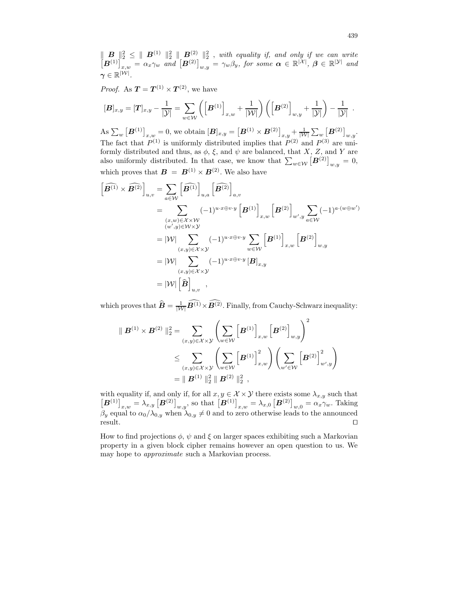$\Vert \boldsymbol{B} \Vert_2^2 \leq \Vert \boldsymbol{B}^{(1)} \Vert_2^2 \Vert \boldsymbol{B}^{(2)} \Vert_2^2$ , with equality if, and only if we can write  $\left[\bm{B}^{(1)}\right]_{x,w}^{\infty} = \alpha_x \gamma_w$  and  $\left[\bm{B}^{(2)}\right]_{w,y}^{\infty} = \gamma_w \beta_y$ , for some  $\bm{\alpha} \in \mathbb{R}^{|\mathcal{X}|}$ ,  $\bm{\beta} \in \mathbb{R}^{|\mathcal{Y}|}$  and  $\gamma \in \mathbb{R}^{|\mathcal{W}|}.$ 

*Proof.* As  $T = T^{(1)} \times T^{(2)}$ , we have

$$
[\boldsymbol{B}]_{x,y} = [\boldsymbol{T}]_{x,y} - \frac{1}{|\mathcal{Y}|} = \sum_{w \in \mathcal{W}} \left( \left[ \boldsymbol{B}^{(1)} \right]_{x,w} + \frac{1}{|\mathcal{W}|} \right) \left( \left[ \boldsymbol{B}^{(2)} \right]_{w,y} + \frac{1}{|\mathcal{Y}|} \right) - \frac{1}{|\mathcal{Y}|}.
$$

As  $\sum_{w} [\boldsymbol{B}^{(1)}]_{x,w} = 0$ , we obtain  $[\boldsymbol{B}]_{x,y} = [\boldsymbol{B}^{(1)} \times \boldsymbol{B}^{(2)}]_{x,y} + \frac{1}{|\mathcal{W}|} \sum_{w} [\boldsymbol{B}^{(2)}]_{w,y}$ . The fact that  $P^{(1)}$  is uniformly distributed implies that  $P^{(2)}$  and  $P^{(3)}$  are uniformly distributed and thus, as  $\phi$ ,  $\xi$ , and  $\psi$  are balanced, that X, Z, and Y are also uniformly distributed. In that case, we know that  $\sum_{w \in \mathcal{W}} [\mathbf{B}^{(2)}]_{w,y} = 0$ , which proves that  $\mathbf{B} = \mathbf{B}^{(1)} \times \mathbf{B}^{(2)}$ . We also have

$$
\begin{aligned}\n\left[\widehat{\mathbf{B}^{(1)}} \times \widehat{\mathbf{B}^{(2)}}\right]_{u,v} &= \sum_{a \in \mathcal{W}} \left[\widehat{\mathbf{B}^{(1)}}\right]_{u,a} \left[\widehat{\mathbf{B}^{(2)}}\right]_{a,v} \\
&= \sum_{\substack{(x,w) \in \mathcal{X} \times \mathcal{W} \\ (w',y) \in \mathcal{W} \times \mathcal{Y}}} (-1)^{u \cdot x \oplus v \cdot y} \left[\mathbf{B}^{(1)}\right]_{x,w} \left[\mathbf{B}^{(2)}\right]_{w',y} \sum_{a \in \mathcal{W}} (-1)^{a \cdot (w \oplus w')} \\
&= |\mathcal{W}| \sum_{(x,y) \in \mathcal{X} \times \mathcal{Y}} (-1)^{u \cdot x \oplus v \cdot y} \sum_{w \in \mathcal{W}} \left[\mathbf{B}^{(1)}\right]_{x,w} \left[\mathbf{B}^{(2)}\right]_{w,y} \\
&= |\mathcal{W}| \sum_{(x,y) \in \mathcal{X} \times \mathcal{Y}} (-1)^{u \cdot x \oplus v \cdot y} \left[\mathbf{B}\right]_{x,y} \\
&= |\mathcal{W}| \left[\widehat{\mathbf{B}}\right]_{u,v},\n\end{aligned}
$$

which proves that  $\widehat{B} = \frac{1}{|\mathcal{W}|} B^{(1)} \times B^{(2)}$ . Finally, from Cauchy-Schwarz inequality:

$$
\| \mathbf{B}^{(1)} \times \mathbf{B}^{(2)} \|^2_2 = \sum_{(x,y) \in \mathcal{X} \times \mathcal{Y}} \left( \sum_{w \in \mathcal{W}} \left[ \mathbf{B}^{(1)} \right]_{x,w} \left[ \mathbf{B}^{(2)} \right]_{w,y} \right)^2
$$
  
\$\leq \sum\_{(x,y) \in \mathcal{X} \times \mathcal{Y}} \left( \sum\_{w \in \mathcal{W}} \left[ \mathbf{B}^{(1)} \right]\_{x,w}^2 \right) \left( \sum\_{w' \in \mathcal{W}} \left[ \mathbf{B}^{(2)} \right]\_{w',y}^2 \right)\$  
\$= \| \mathbf{B}^{(1)} \|^2\_2 \parallel \mathbf{B}^{(2)} \parallel\_2^2 ,

with equality if, and only if, for all  $x, y \in \mathcal{X} \times \mathcal{Y}$  there exists some  $\lambda_{x,y}$  such that  $\left[\mathbf{B}^{(1)}\right]_{x,w} = \lambda_{x,y} \left[\mathbf{B}^{(2)}\right]_{w,y}$ , so that  $\left[\mathbf{B}^{(1)}\right]_{x,w} = \lambda_{x,0} \left[\mathbf{B}^{(2)}\right]_{w,0} = \alpha_x \gamma_w$ . Taking  $\beta_y$  equal to  $\alpha_0/\lambda_{0,y}$  when  $\lambda_{0,y} \neq 0$  and to zero otherwise leads to the announced result.  $\Box$ 

How to find projections  $\phi$ ,  $\psi$  and  $\xi$  on larger spaces exhibiting such a Markovian property in a given block cipher remains however an open question to us. We may hope to approximate such a Markovian process.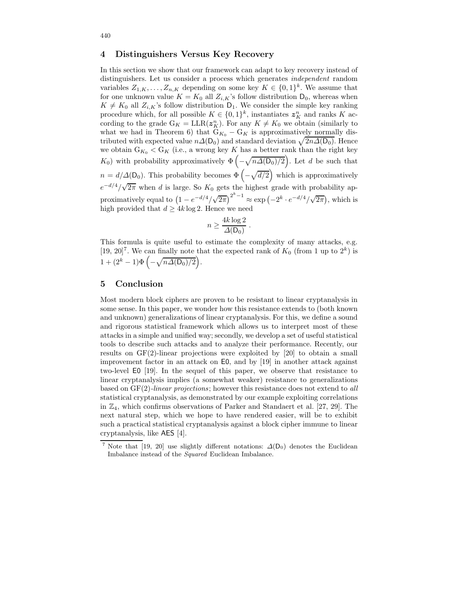# 4 Distinguishers Versus Key Recovery

In this section we show that our framework can adapt to key recovery instead of distinguishers. Let us consider a process which generates independent random variables  $Z_{1,K}, \ldots, Z_{n,K}$  depending on some key  $K \in \{0,1\}^k$ . We assume that for one unknown value  $K = K_0$  all  $Z_{i,K}$ 's follow distribution  $D_0$ , whereas when  $K \neq K_0$  all  $Z_{i,K}$ 's follow distribution  $D_1$ . We consider the simple key ranking procedure which, for all possible  $K \in \{0,1\}^k$ , instantiates  $z_K^n$  and ranks K according to the grade  $G_K = LLR(z_K^n)$ . For any  $K \neq K_0$  we obtain (similarly to what we had in Theorem 6) that  $G_{K_0} - G_K$  is approximatively normally distributed with expected value  $n\Delta(D_0)$  and standard deviation  $\sqrt{2n\Delta(D_0)}$ . Hence we obtain  $G_{K_0} < G_K$  (i.e., a wrong key K has a better rank than the right key  $K_0$ ) with probability approximatively  $\Phi$  (  $-\sqrt{n\Delta(D_0)/2}$ . Let d be such that  $n = d/\Delta(\mathsf{D}_0)$ . This probability becomes  $\hat{\Phi}$  (  $-\sqrt{d/2}$ ) which is approximatively  $e^{-d/4}/\sqrt{2\pi}$  when d is large. So  $K_0$  gets the highest grade with probability approximatively equal to  $(1 - e^{-d/4}/\sqrt{2\pi})^{2^k - 1} \approx \exp(-2^k \cdot e^{-d/4}/\sqrt{2\pi})$ , which is high provided that  $d \geq 4k \log 2$ . Hence we need

$$
n \ge \frac{4k \log 2}{\Delta(\mathsf{D}_0)}.
$$

This formula is quite useful to estimate the complexity of many attacks, e.g. [19, 20]<sup>7</sup>. We can finally note that the expected rank of  $K_0$  (from 1 up to  $2^k$ ) is  $1 + (2^k - 1)\Phi\left(-\sqrt{n\Delta(D_0)/2}\right).$ 

# 5 Conclusion

Most modern block ciphers are proven to be resistant to linear cryptanalysis in some sense. In this paper, we wonder how this resistance extends to (both known and unknown) generalizations of linear cryptanalysis. For this, we define a sound and rigorous statistical framework which allows us to interpret most of these attacks in a simple and unified way; secondly, we develop a set of useful statistical tools to describe such attacks and to analyze their performance. Recently, our results on  $GF(2)$ -linear projections were exploited by [20] to obtain a small improvement factor in an attack on E0, and by [19] in another attack against two-level E0 [19]. In the sequel of this paper, we observe that resistance to linear cryptanalysis implies (a somewhat weaker) resistance to generalizations based on GF(2)-linear projections; however this resistance does not extend to all statistical cryptanalysis, as demonstrated by our example exploiting correlations in  $\mathbb{Z}_4$ , which confirms observations of Parker and Standaert et al. [27, 29]. The next natural step, which we hope to have rendered easier, will be to exhibit such a practical statistical cryptanalysis against a block cipher immune to linear cryptanalysis, like AES [4].

Note that [19, 20] use slightly different notations:  $\Delta(D_0)$  denotes the Euclidean Imbalance instead of the Squared Euclidean Imbalance.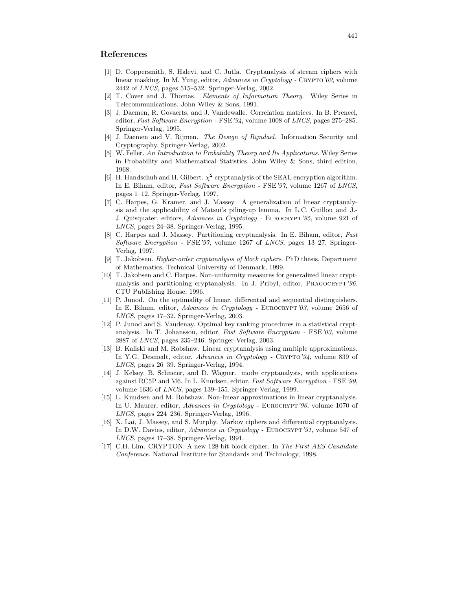# References

- [1] D. Coppersmith, S. Halevi, and C. Jutla. Cryptanalysis of stream ciphers with linear masking. In M. Yung, editor, Advances in Cryptology - CRYPTO'02, volume 2442 of LNCS, pages 515–532. Springer-Verlag, 2002.
- [2] T. Cover and J. Thomas. Elements of Information Theory. Wiley Series in Telecommunications. John Wiley & Sons, 1991.
- [3] J. Daemen, R. Govaerts, and J. Vandewalle. Correlation matrices. In B. Preneel, editor, Fast Software Encryption - FSE '94, volume 1008 of LNCS, pages 275–285. Springer-Verlag, 1995.
- [4] J. Daemen and V. Rijmen. *The Design of Rijndael.* Information Security and Cryptography. Springer-Verlag, 2002.
- [5] W. Feller. An Introduction to Probability Theory and Its Applications. Wiley Series in Probability and Mathematical Statistics. John Wiley & Sons, third edition, 1968.
- [6] H. Handschuh and H. Gilbert.  $\chi^2$  cryptanalysis of the SEAL encryption algorithm. In E. Biham, editor, Fast Software Encryption - FSE'97, volume 1267 of LNCS, pages 1–12. Springer-Verlag, 1997.
- [7] C. Harpes, G. Kramer, and J. Massey. A generalization of linear cryptanalysis and the applicability of Matsui's piling-up lemma. In L.C. Guillou and J.- J. Quisquater, editors, Advances in Cryptology - EUROCRYPT'95, volume 921 of LNCS, pages 24–38. Springer-Verlag, 1995.
- [8] C. Harpes and J. Massey. Partitioning cryptanalysis. In E. Biham, editor, Fast Software Encryption - FSE'97, volume 1267 of LNCS, pages 13–27. Springer-Verlag, 1997.
- [9] T. Jakobsen. Higher-order cryptanalysis of block ciphers. PhD thesis, Department of Mathematics, Technical University of Denmark, 1999.
- [10] T. Jakobsen and C. Harpes. Non-uniformity measures for generalized linear cryptanalysis and partitioning cryptanalysis. In J. Pribyl, editor, PRAGOCRYPT'96. CTU Publishing House, 1996.
- [11] P. Junod. On the optimality of linear, differential and sequential distinguishers. In E. Biham, editor, Advances in Cryptology - EUROCRYPT'03, volume 2656 of LNCS, pages 17–32. Springer-Verlag, 2003.
- [12] P. Junod and S. Vaudenay. Optimal key ranking procedures in a statistical cryptanalysis. In T. Johansson, editor, Fast Software Encryption - FSE'03, volume 2887 of LNCS, pages 235–246. Springer-Verlag, 2003.
- [13] B. Kaliski and M. Robshaw. Linear cryptanalysis using multiple approximations. In Y.G. Desmedt, editor, Advances in Cryptology - CRYPTO'94, volume 839 of LNCS, pages 26–39. Springer-Verlag, 1994.
- [14] J. Kelsey, B. Schneier, and D. Wagner. modn cryptanalysis, with applications against RC5P and M6. In L. Knudsen, editor, Fast Software Encryption - FSE'99, volume 1636 of LNCS, pages 139–155. Springer-Verlag, 1999.
- [15] L. Knudsen and M. Robshaw. Non-linear approximations in linear cryptanalysis. In U. Maurer, editor, *Advances in Cryptology* - EUROCRYPT'96, volume 1070 of LNCS, pages 224–236. Springer-Verlag, 1996.
- [16] X. Lai, J. Massey, and S. Murphy. Markov ciphers and differential cryptanalysis. In D.W. Davies, editor, Advances in Cryptology - EUROCRYPT'91, volume 547 of LNCS, pages 17–38. Springer-Verlag, 1991.
- [17] C.H. Lim. CRYPTON: A new 128-bit block cipher. In The First AES Candidate Conference. National Institute for Standards and Technology, 1998.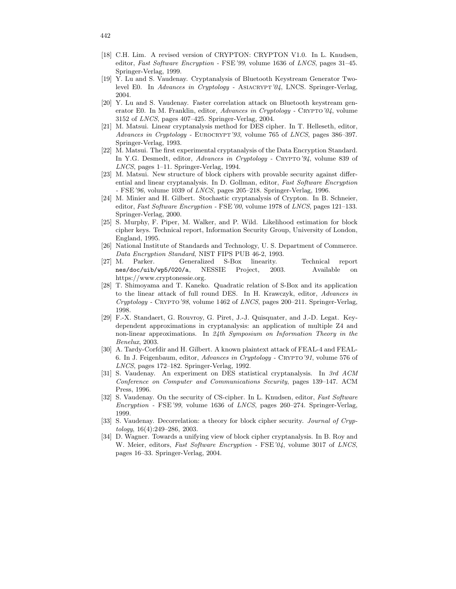- [18] C.H. Lim. A revised version of CRYPTON: CRYPTON V1.0. In L. Knudsen, editor, Fast Software Encryption - FSE'99, volume 1636 of LNCS, pages 31–45. Springer-Verlag, 1999.
- [19] Y. Lu and S. Vaudenay. Cryptanalysis of Bluetooth Keystream Generator Twolevel E0. In Advances in Cryptology - ASIACRYPT'04, LNCS. Springer-Verlag, 2004.
- [20] Y. Lu and S. Vaudenay. Faster correlation attack on Bluetooth keystream generator E0. In M. Franklin, editor, Advances in Cryptology - CRYPTO'04, volume 3152 of LNCS, pages 407–425. Springer-Verlag, 2004.
- [21] M. Matsui. Linear cryptanalysis method for DES cipher. In T. Helleseth, editor, Advances in Cryptology - EUROCRYPT'93, volume 765 of LNCS, pages 386–397. Springer-Verlag, 1993.
- [22] M. Matsui. The first experimental cryptanalysis of the Data Encryption Standard. In Y.G. Desmedt, editor, Advances in Cryptology - CRYPTO'94, volume 839 of LNCS, pages 1–11. Springer-Verlag, 1994.
- [23] M. Matsui. New structure of block ciphers with provable security against differential and linear cryptanalysis. In D. Gollman, editor, Fast Software Encryption - FSE'96, volume 1039 of  $LNCS$ , pages 205–218. Springer-Verlag, 1996.
- [24] M. Minier and H. Gilbert. Stochastic cryptanalysis of Crypton. In B. Schneier, editor, Fast Software Encryption - FSE'00, volume 1978 of LNCS, pages 121–133. Springer-Verlag, 2000.
- [25] S. Murphy, F. Piper, M. Walker, and P. Wild. Likelihood estimation for block cipher keys. Technical report, Information Security Group, University of London, England, 1995.
- [26] National Institute of Standards and Technology, U. S. Department of Commerce. Data Encryption Standard, NIST FIPS PUB 46-2, 1993.
- [27] M. Parker. Generalized S-Box linearity. Technical report nes/doc/uib/wp5/020/a, NESSIE Project, 2003. Available on https://www.cryptonessie.org.
- [28] T. Shimoyama and T. Kaneko. Quadratic relation of S-Box and its application to the linear attack of full round DES. In H. Krawczyk, editor, Advances in Cryptology - Crypto'98, volume 1462 of LNCS, pages 200–211. Springer-Verlag, 1998.
- [29] F.-X. Standaert, G. Rouvroy, G. Piret, J.-J. Quisquater, and J.-D. Legat. Keydependent approximations in cryptanalysis: an application of multiple Z4 and non-linear approximations. In 24th Symposium on Information Theory in the Benelux, 2003.
- [30] A. Tardy-Corfdir and H. Gilbert. A known plaintext attack of FEAL-4 and FEAL-6. In J. Feigenbaum, editor, Advances in Cryptology - Crypto'91, volume 576 of LNCS, pages 172–182. Springer-Verlag, 1992.
- [31] S. Vaudenay. An experiment on DES statistical cryptanalysis. In 3rd ACM Conference on Computer and Communications Security, pages 139–147. ACM Press, 1996.
- [32] S. Vaudenay. On the security of CS-cipher. In L. Knudsen, editor, Fast Software Encryption - FSE'99, volume 1636 of LNCS, pages 260–274. Springer-Verlag, 1999.
- [33] S. Vaudenay. Decorrelation: a theory for block cipher security. Journal of Cryptology, 16(4):249–286, 2003.
- [34] D. Wagner. Towards a unifying view of block cipher cryptanalysis. In B. Roy and W. Meier, editors, Fast Software Encryption - FSE'04, volume 3017 of LNCS, pages 16–33. Springer-Verlag, 2004.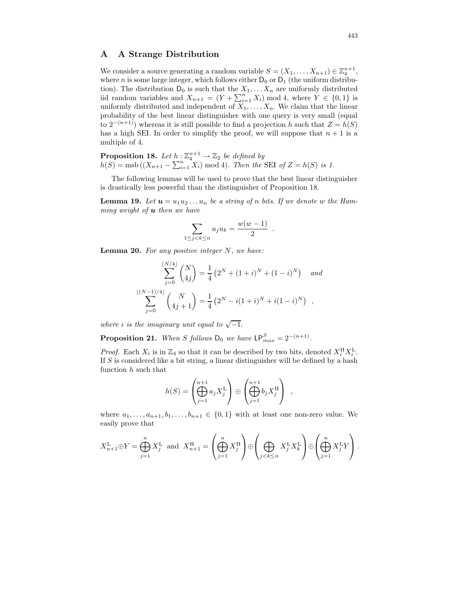### A A Strange Distribution

We consider a source generating a random variable  $S = (X_1, \ldots, X_{n+1}) \in \mathbb{Z}_4^{n+1}$ , where n is some large integer, which follows either  $D_0$  or  $D_1$  (the uniform distribution). The distribution  $D_0$  is such that the  $X_1, \ldots, X_n$  are uniformly distributed iid random variables and  $X_{n+1} = (Y + \sum_{i=1}^{n} X_i) \mod 4$ , where  $Y \in \{0,1\}$  is uniformly distributed and independent of  $X_1, \ldots, X_n$ . We claim that the linear probability of the best linear distinguisher with one query is very small (equal to  $2^{-(n+1)}$ ) whereas it is still possible to find a projection h such that  $Z = h(S)$ has a high SEI. In order to simplify the proof, we will suppose that  $n + 1$  is a multiple of 4.

**Proposition 18.** Let  $h: \mathbb{Z}_4^{n+1} \to \mathbb{Z}_2$  be defined by  $h(S) = \text{msb}((X_{n+1} - \sum_{i=1}^{n} X_i) \text{ mod } 4)$ . Then the SEI of  $Z = h(S)$  is 1.

The following lemmas will be used to prove that the best linear distinguisher is drastically less powerful than the distinguisher of Proposition 18.

**Lemma 19.** Let  $u = u_1 u_2 \ldots u_n$  be a string of n bits. If we denote w the Hamming weight of  $\boldsymbol{u}$  then we have

$$
\sum_{1 \le j < k \le n} u_j u_k = \frac{w(w-1)}{2} .
$$

**Lemma 20.** For any positive integer  $N$ , we have:

$$
\sum_{j=0}^{\lfloor N/4 \rfloor} {N \choose 4j} = \frac{1}{4} \left( 2^N + (1+i)^N + (1-i)^N \right) \quad \text{and}
$$
  

$$
\sum_{j=0}^{\lfloor (N-1)/4 \rfloor} {N \choose 4j+1} = \frac{1}{4} \left( 2^N - i(1+i)^N + i(1-i)^N \right) ,
$$

where i is the imaginary unit equal to  $\sqrt{-1}$ .

**Proposition 21.** When S follows  $D_0$  we have  $LP_{max}^S = 2^{-(n+1)}$ .

*Proof.* Each  $X_i$  is in  $\mathbb{Z}_4$  so that it can be described by two bits, denoted  $X_i^{\rm H} X_i^{\rm L}$ . If S is considered like a bit string, a linear distinguisher will be defined by a hash function h such that

$$
h(S) = \left(\bigoplus_{j=1}^{n+1} a_j X_j^{\mathcal{L}}\right) \oplus \left(\bigoplus_{j=1}^{n+1} b_j X_j^{\mathcal{H}}\right) ,
$$

where  $a_1, \ldots, a_{n+1}, b_1, \ldots, b_{n+1} \in \{0,1\}$  with at least one non-zero value. We easily prove that

$$
X_{n+1}^{\mathcal{L}} \oplus Y = \bigoplus_{j=1}^{n} X_j^{\mathcal{L}} \text{ and } X_{n+1}^{\mathcal{H}} = \left(\bigoplus_{j=1}^{n} X_j^{\mathcal{H}}\right) \oplus \left(\bigoplus_{j < k \leq n} X_j^{\mathcal{L}} X_k^{\mathcal{L}}\right) \oplus \left(\bigoplus_{j=1}^{n} X_j^{\mathcal{L}} Y\right).
$$